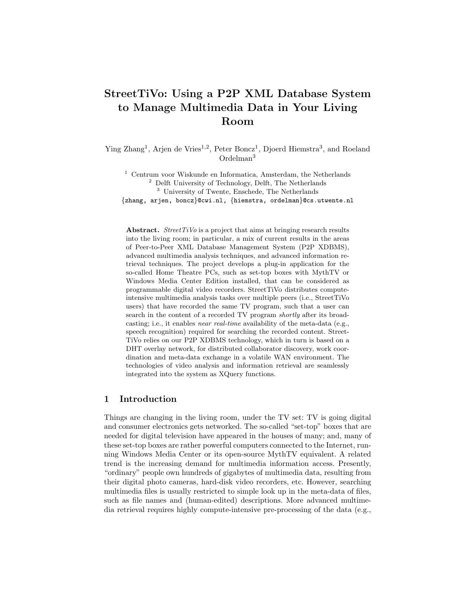# StreetTiVo: Using a P2P XML Database System to Manage Multimedia Data in Your Living Room

Ying Zhang<sup>1</sup>, Arjen de Vries<sup>1,2</sup>, Peter Boncz<sup>1</sup>, Djoerd Hiemstra<sup>3</sup>, and Roeland Ordelman<sup>3</sup>

 Centrum voor Wiskunde en Informatica, Amsterdam, the Netherlands Delft University of Technology, Delft, The Netherlands University of Twente, Enschede, The Netherlands {zhang, arjen, boncz}@cwi.nl, {hiemstra, ordelman}@cs.utwente.nl

Abstract. StreetTiVo is a project that aims at bringing research results into the living room; in particular, a mix of current results in the areas of Peer-to-Peer XML Database Management System (P2P XDBMS), advanced multimedia analysis techniques, and advanced information retrieval techniques. The project develops a plug-in application for the so-called Home Theatre PCs, such as set-top boxes with MythTV or Windows Media Center Edition installed, that can be considered as programmable digital video recorders. StreetTiVo distributes computeintensive multimedia analysis tasks over multiple peers (i.e., StreetTiVo users) that have recorded the same TV program, such that a user can search in the content of a recorded TV program shortly after its broadcasting; i.e., it enables near real-time availability of the meta-data (e.g., speech recognition) required for searching the recorded content. Street-TiVo relies on our P2P XDBMS technology, which in turn is based on a DHT overlay network, for distributed collaborator discovery, work coordination and meta-data exchange in a volatile WAN environment. The technologies of video analysis and information retrieval are seamlessly integrated into the system as XQuery functions.

# 1 Introduction

Things are changing in the living room, under the TV set: TV is going digital and consumer electronics gets networked. The so-called "set-top" boxes that are needed for digital television have appeared in the houses of many; and, many of these set-top boxes are rather powerful computers connected to the Internet, running Windows Media Center or its open-source MythTV equivalent. A related trend is the increasing demand for multimedia information access. Presently, "ordinary" people own hundreds of gigabytes of multimedia data, resulting from their digital photo cameras, hard-disk video recorders, etc. However, searching multimedia files is usually restricted to simple look up in the meta-data of files, such as file names and (human-edited) descriptions. More advanced multimedia retrieval requires highly compute-intensive pre-processing of the data (e.g.,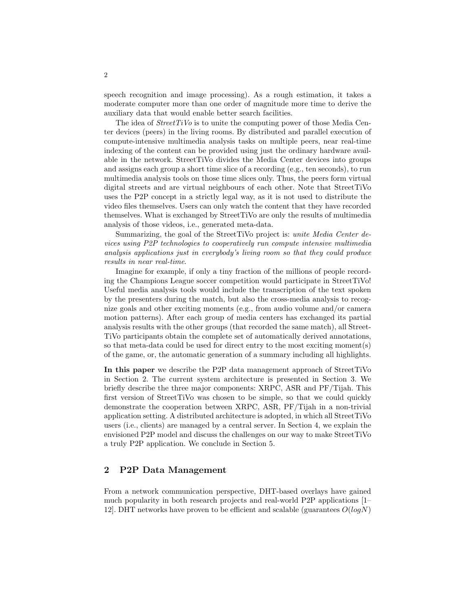speech recognition and image processing). As a rough estimation, it takes a moderate computer more than one order of magnitude more time to derive the auxiliary data that would enable better search facilities.

The idea of  $Street TiVo$  is to unite the computing power of those Media Center devices (peers) in the living rooms. By distributed and parallel execution of compute-intensive multimedia analysis tasks on multiple peers, near real-time indexing of the content can be provided using just the ordinary hardware available in the network. StreetTiVo divides the Media Center devices into groups and assigns each group a short time slice of a recording (e.g., ten seconds), to run multimedia analysis tools on those time slices only. Thus, the peers form virtual digital streets and are virtual neighbours of each other. Note that StreetTiVo uses the P2P concept in a strictly legal way, as it is not used to distribute the video files themselves. Users can only watch the content that they have recorded themselves. What is exchanged by StreetTiVo are only the results of multimedia analysis of those videos, i.e., generated meta-data.

Summarizing, the goal of the StreetTiVo project is: unite Media Center devices using P2P technologies to cooperatively run compute intensive multimedia analysis applications just in everybody's living room so that they could produce results in near real-time.

Imagine for example, if only a tiny fraction of the millions of people recording the Champions League soccer competition would participate in StreetTiVo! Useful media analysis tools would include the transcription of the text spoken by the presenters during the match, but also the cross-media analysis to recognize goals and other exciting moments (e.g., from audio volume and/or camera motion patterns). After each group of media centers has exchanged its partial analysis results with the other groups (that recorded the same match), all Street-TiVo participants obtain the complete set of automatically derived annotations, so that meta-data could be used for direct entry to the most exciting moment(s) of the game, or, the automatic generation of a summary including all highlights.

In this paper we describe the P2P data management approach of StreetTiVo in Section 2. The current system architecture is presented in Section 3. We briefly describe the three major components: XRPC, ASR and PF/Tijah. This first version of StreetTiVo was chosen to be simple, so that we could quickly demonstrate the cooperation between XRPC, ASR, PF/Tijah in a non-trivial application setting. A distributed architecture is adopted, in which all StreetTiVo users (i.e., clients) are managed by a central server. In Section 4, we explain the envisioned P2P model and discuss the challenges on our way to make StreetTiVo a truly P2P application. We conclude in Section 5.

## 2 P2P Data Management

From a network communication perspective, DHT-based overlays have gained much popularity in both research projects and real-world P2P applications [1– 12. DHT networks have proven to be efficient and scalable (guarantees  $O(logN)$ )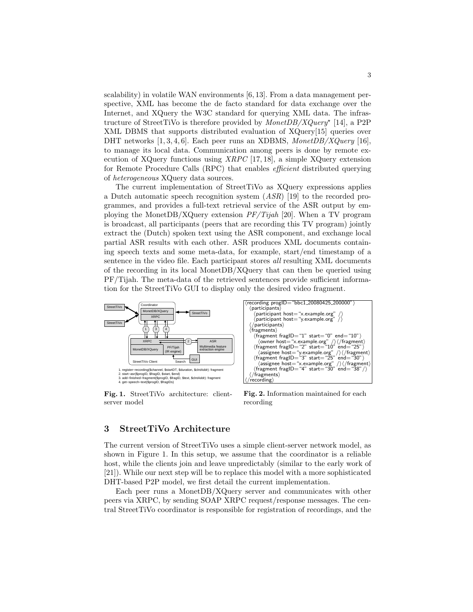scalability) in volatile WAN environments [6, 13]. From a data management perspective, XML has become the de facto standard for data exchange over the Internet, and XQuery the W3C standard for querying XML data. The infrastructure of StreetTiVo is therefore provided by  $Monet DB/XQuery^*$  [14], a P2P XML DBMS that supports distributed evaluation of XQuery[15] queries over DHT networks [1, 3, 4, 6]. Each peer runs an XDBMS, MonetDB/XQuery [16], to manage its local data. Communication among peers is done by remote execution of XQuery functions using XRPC [17, 18], a simple XQuery extension for Remote Procedure Calls (RPC) that enables efficient distributed querying of heterogeneous XQuery data sources.

The current implementation of StreetTiVo as XQuery expressions applies a Dutch automatic speech recognition system (ASR) [19] to the recorded programmes, and provides a full-text retrieval service of the ASR output by employing the MonetDB/XQuery extension  $PF/Tijah$  [20]. When a TV program is broadcast, all participants (peers that are recording this TV program) jointly extract the (Dutch) spoken text using the ASR component, and exchange local partial ASR results with each other. ASR produces XML documents containing speech texts and some meta-data, for example, start/end timestamp of a sentence in the video file. Each participant stores *all* resulting XML documents of the recording in its local MonetDB/XQuery that can then be queried using PF/Tijah. The meta-data of the retrieved sentences provide sufficient information for the StreetTiVo GUI to display only the desired video fragment.



Fig. 1. StreetTiVo architecture: clientserver model

Fig. 2. Information maintained for each recording

# 3 StreetTiVo Architecture

The current version of StreetTiVo uses a simple client-server network model, as shown in Figure 1. In this setup, we assume that the coordinator is a reliable host, while the clients join and leave unpredictably (similar to the early work of [21]). While our next step will be to replace this model with a more sophisticated DHT-based P2P model, we first detail the current implementation.

Each peer runs a MonetDB/XQuery server and communicates with other peers via XRPC, by sending SOAP XRPC request/response messages. The central StreetTiVo coordinator is responsible for registration of recordings, and the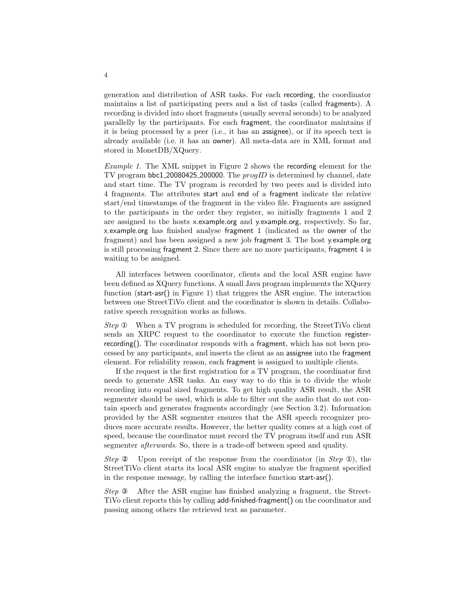generation and distribution of ASR tasks. For each recording, the coordinator maintains a list of participating peers and a list of tasks (called fragments). A recording is divided into short fragments (usually several seconds) to be analyzed parallelly by the participants. For each fragment, the coordinator maintains if it is being processed by a peer (i.e., it has an assignee), or if its speech text is already available (i.e. it has an owner). All meta-data are in XML format and stored in MonetDB/XQuery.

Example 1. The XML snippet in Figure 2 shows the recording element for the TV program bbc1 20080425 200000. The progID is determined by channel, date and start time. The TV program is recorded by two peers and is divided into 4 fragments. The attributes start and end of a fragment indicate the relative start/end timestamps of the fragment in the video file. Fragments are assigned to the participants in the order they register, so initially fragments 1 and 2 are assigned to the hosts x.example.org and y.example.org, respectively. So far, x.example.org has finished analyse fragment 1 (indicated as the owner of the fragment) and has been assigned a new job fragment 3. The host y.example.org is still processing fragment 2. Since there are no more participants, fragment 4 is waiting to be assigned.

All interfaces between coordinator, clients and the local ASR engine have been defined as XQuery functions. A small Java program implements the XQuery function (start-asr() in Figure 1) that triggers the ASR engine. The interaction between one StreetTiVo client and the coordinator is shown in details. Collaborative speech recognition works as follows.

 $Step ①$  When a TV program is scheduled for recording, the StreetTiVo client sends an XRPC request to the coordinator to execute the function registerrecording(). The coordinator responds with a fragment, which has not been processed by any participants, and inserts the client as an assignee into the fragment element. For reliability reason, each fragment is assigned to multiple clients.

If the request is the first registration for a TV program, the coordinator first needs to generate ASR tasks. An easy way to do this is to divide the whole recording into equal sized fragments. To get high quality ASR result, the ASR segmenter should be used, which is able to filter out the audio that do not contain speech and generates fragments accordingly (see Section 3.2). Information provided by the ASR segmenter ensures that the ASR speech recognizer produces more accurate results. However, the better quality comes at a high cost of speed, because the coordinator must record the TV program itself and run ASR segmenter afterwards. So, there is a trade-off between speed and quality.

Step  $\mathfrak{D}$  Upon receipt of the response from the coordinator (in Step  $\mathfrak{D}$ ), the StreetTiVo client starts its local ASR engine to analyze the fragment specified in the response message, by calling the interface function start-asr().

Step ③ After the ASR engine has finished analyzing a fragment, the Street-TiVo client reports this by calling add-finished-fragment() on the coordinator and passing among others the retrieved text as parameter.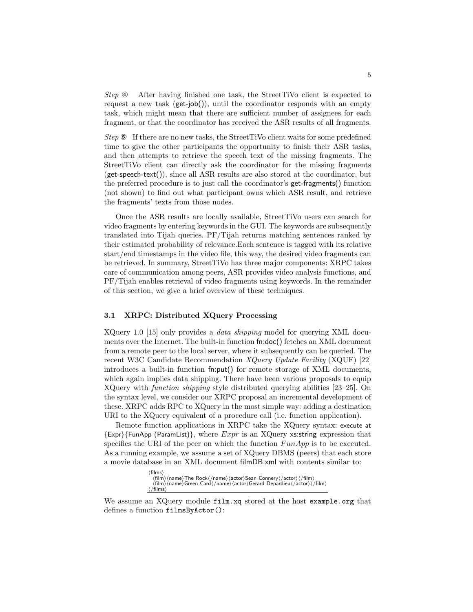Step ④ After having finished one task, the StreetTiVo client is expected to request a new task (get-job()), until the coordinator responds with an empty task, which might mean that there are sufficient number of assignees for each fragment, or that the coordinator has received the ASR results of all fragments.

Step ⑤ If there are no new tasks, the StreetTiVo client waits for some predefined time to give the other participants the opportunity to finish their ASR tasks, and then attempts to retrieve the speech text of the missing fragments. The StreetTiVo client can directly ask the coordinator for the missing fragments (get-speech-text()), since all ASR results are also stored at the coordinator, but the preferred procedure is to just call the coordinator's get-fragments() function (not shown) to find out what participant owns which ASR result, and retrieve the fragments' texts from those nodes.

Once the ASR results are locally available, StreetTiVo users can search for video fragments by entering keywords in the GUI. The keywords are subsequently translated into Tijah queries. PF/Tijah returns matching sentences ranked by their estimated probability of relevance.Each sentence is tagged with its relative start/end timestamps in the video file, this way, the desired video fragments can be retrieved. In summary, StreetTiVo has three major components: XRPC takes care of communication among peers, ASR provides video analysis functions, and PF/Tijah enables retrieval of video fragments using keywords. In the remainder of this section, we give a brief overview of these techniques.

#### 3.1 XRPC: Distributed XQuery Processing

XQuery 1.0 [15] only provides a data shipping model for querying XML documents over the Internet. The built-in function fn:doc() fetches an XML document from a remote peer to the local server, where it subsequently can be queried. The recent W3C Candidate Recommendation XQuery Update Facility (XQUF) [22] introduces a built-in function fn:put() for remote storage of XML documents, which again implies data shipping. There have been various proposals to equip XQuery with function shipping style distributed querying abilities [23–25]. On the syntax level, we consider our XRPC proposal an incremental development of these. XRPC adds RPC to XQuery in the most simple way: adding a destination URI to the XQuery equivalent of a procedure call (i.e. function application).

Remote function applications in XRPC take the XQuery syntax: execute at  ${Expr}{FunApp (ParamList)}$ , where  $Expr$  is an XQuery xs:string expression that specifies the URI of the peer on which the function  $FunApp$  is to be executed. As a running example, we assume a set of XQuery DBMS (peers) that each store a movie database in an XML document filmDB.xml with contents similar to:

> $\langle$ films $\rangle$ (film $\rangle$ {name} $\sf The \; Rock$ {/name $\rangle$ {actor}Sean Connery{/actor}{/film}  $\langle \mathsf{film} \rangle \langle \mathsf{name} \rangle$ Green Card $\langle / \mathsf{name} \rangle \langle \mathsf{actor} \rangle$ Gerard Depardieu $\langle / \mathsf{actor} \rangle \langle / \mathsf{film} \rangle$  $\langle$  /films

We assume an XQuery module film.xq stored at the host example.org that defines a function filmsByActor():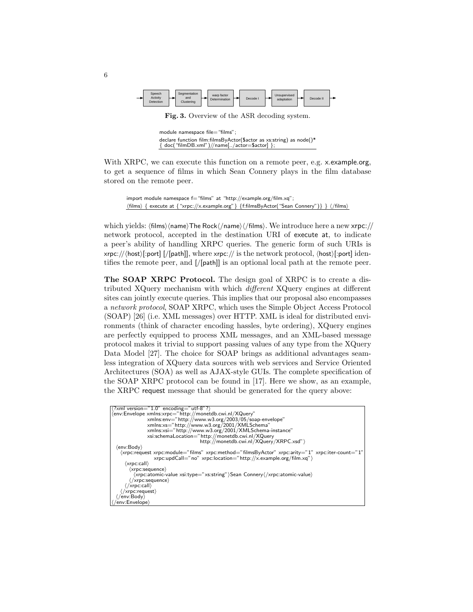

Fig. 3. Overview of the ASR decoding system.

module namespace file="films"; declare function film:filmsByActor(\$actor as xs:string) as node()\* { doc("filmDB.xml")//name[../actor=\$actor] };

With XRPC, we can execute this function on a remote peer, e.g. x. example.org, to get a sequence of films in which Sean Connery plays in the film database stored on the remote peer.

import module namespace  $f = "films"$  at "http://example.org/film.xq";  $\langle$ films $\rangle$  { execute at { "xrpc://x.example.org" } {f:filmsByActor( "Sean Connery" } }  $\rangle$   $\langle$  /films $\rangle$ 

which yields:  $\{\text{films}\rangle$ name $\text{The Rock}\langle\text{name}\rangle$  $\langle\text{films}\rangle$ . We introduce here a new xrpc:// network protocol, accepted in the destination URI of execute at, to indicate a peer's ability of handling XRPC queries. The generic form of such URIs is xrpc://(host)[:port] [/[path]], where xrpc:// is the network protocol,  $\langle$ host)[:port] identifies the remote peer, and [/[path]] is an optional local path at the remote peer.

The SOAP XRPC Protocol. The design goal of XRPC is to create a distributed XQuery mechanism with which different XQuery engines at different sites can jointly execute queries. This implies that our proposal also encompasses a network protocol, SOAP XRPC, which uses the Simple Object Access Protocol (SOAP) [26] (i.e. XML messages) over HTTP. XML is ideal for distributed environments (think of character encoding hassles, byte ordering), XQuery engines are perfectly equipped to process XML messages, and an XML-based message protocol makes it trivial to support passing values of any type from the XQuery Data Model [27]. The choice for SOAP brings as additional advantages seamless integration of XQuery data sources with web services and Service Oriented Architectures (SOA) as well as AJAX-style GUIs. The complete specification of the SOAP XRPC protocol can be found in [17]. Here we show, as an example, the XRPC request message that should be generated for the query above:

| $\langle$ ?xml version="1.0" encoding="utf-8"?)                                                  |
|--------------------------------------------------------------------------------------------------|
| /env:Envelope xmlns:xrpc="http://monetdb.cwi.nl/XQuery"                                          |
| xmlns:env="http://www.w3.org/2003/05/soap-envelope"                                              |
| xmlns:xs="http://www.w3.org/2001/XMLSchema"                                                      |
| xmlns:xsi="http://www.w3.org/2001/XMLSchema-instance"                                            |
| xsi:schemaLocation="http://monetdb.cwi.nl/XQuery                                                 |
| http://monetdb.cwi.nl/XQuery/XRPC.xsd")                                                          |
| (env:Body)                                                                                       |
| "xrpc:request_xrpc:module="films"_xrpc:method="filmsByActor"_xrpc:arity="1"_xrpc:iter-count="1\/ |
| xrpc:updCall="no" xrpc:location="http://x.example.org/film.xq")                                  |
| $\langle$ xrpc:call $\rangle$                                                                    |
| $\langle$ xrpc:sequence $\rangle$                                                                |
| 〈xrpc:atomic-value xsi:type="xs:string"}Sean Connery〈/xrpc:atomic-value〉                         |
| $\langle$ /xrpc:sequence $\rangle$                                                               |
| $\langle$ /xrpc:call $\rangle$                                                                   |
| $\langle$ xrpc: request $\rangle$                                                                |
| (/env:Body)                                                                                      |
| 'env:Envelope)                                                                                   |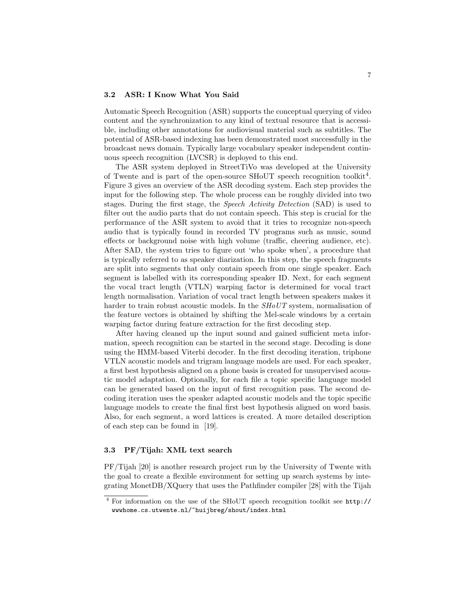#### 3.2 ASR: I Know What You Said

Automatic Speech Recognition (ASR) supports the conceptual querying of video content and the synchronization to any kind of textual resource that is accessible, including other annotations for audiovisual material such as subtitles. The potential of ASR-based indexing has been demonstrated most successfully in the broadcast news domain. Typically large vocabulary speaker independent continuous speech recognition (LVCSR) is deployed to this end.

The ASR system deployed in StreetTiVo was developed at the University of Twente and is part of the open-source SHoUT speech recognition toolkit<sup>4</sup>. Figure 3 gives an overview of the ASR decoding system. Each step provides the input for the following step. The whole process can be roughly divided into two stages. During the first stage, the Speech Activity Detection (SAD) is used to filter out the audio parts that do not contain speech. This step is crucial for the performance of the ASR system to avoid that it tries to recognize non-speech audio that is typically found in recorded TV programs such as music, sound effects or background noise with high volume (traffic, cheering audience, etc). After SAD, the system tries to figure out 'who spoke when', a procedure that is typically referred to as speaker diarization. In this step, the speech fragments are split into segments that only contain speech from one single speaker. Each segment is labelled with its corresponding speaker ID. Next, for each segment the vocal tract length (VTLN) warping factor is determined for vocal tract length normalisation. Variation of vocal tract length between speakers makes it harder to train robust acoustic models. In the *SHoUT* system, normalisation of the feature vectors is obtained by shifting the Mel-scale windows by a certain warping factor during feature extraction for the first decoding step.

After having cleaned up the input sound and gained sufficient meta information, speech recognition can be started in the second stage. Decoding is done using the HMM-based Viterbi decoder. In the first decoding iteration, triphone VTLN acoustic models and trigram language models are used. For each speaker, a first best hypothesis aligned on a phone basis is created for unsupervised acoustic model adaptation. Optionally, for each file a topic specific language model can be generated based on the input of first recognition pass. The second decoding iteration uses the speaker adapted acoustic models and the topic specific language models to create the final first best hypothesis aligned on word basis. Also, for each segment, a word lattices is created. A more detailed description of each step can be found in [19].

#### 3.3 PF/Tijah: XML text search

PF/Tijah [20] is another research project run by the University of Twente with the goal to create a flexible environment for setting up search systems by integrating MonetDB/XQuery that uses the Pathfinder compiler [28] with the Tijah

<sup>4</sup> For information on the use of the SHoUT speech recognition toolkit see http:// wwwhome.cs.utwente.nl/~huijbreg/shout/index.html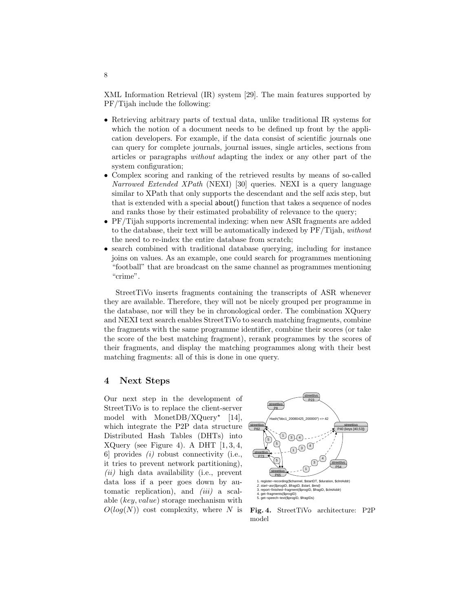XML Information Retrieval (IR) system [29]. The main features supported by PF/Tijah include the following:

- Retrieving arbitrary parts of textual data, unlike traditional IR systems for which the notion of a document needs to be defined up front by the application developers. For example, if the data consist of scientific journals one can query for complete journals, journal issues, single articles, sections from articles or paragraphs without adapting the index or any other part of the system configuration;
- Complex scoring and ranking of the retrieved results by means of so-called Narrowed Extended XPath (NEXI) [30] queries. NEXI is a query language similar to XPath that only supports the descendant and the self axis step, but that is extended with a special about() function that takes a sequence of nodes and ranks those by their estimated probability of relevance to the query;
- PF/Tijah supports incremental indexing: when new ASR fragments are added to the database, their text will be automatically indexed by PF/Tijah, without the need to re-index the entire database from scratch;
- search combined with traditional database querying, including for instance joins on values. As an example, one could search for programmes mentioning "football" that are broadcast on the same channel as programmes mentioning "crime".

StreetTiVo inserts fragments containing the transcripts of ASR whenever they are available. Therefore, they will not be nicely grouped per programme in the database, nor will they be in chronological order. The combination XQuery and NEXI text search enables StreetTiVo to search matching fragments, combine the fragments with the same programme identifier, combine their scores (or take the score of the best matching fragment), rerank programmes by the scores of their fragments, and display the matching programmes along with their best matching fragments: all of this is done in one query.

## 4 Next Steps

Our next step in the development of StreetTiVo is to replace the client-server model with  $MonetDB/XQuery^*$  [14], which integrate the P2P data structure Distributed Hash Tables (DHTs) into XQuery (see Figure 4). A DHT  $[1, 3, 4, 4]$ 6] provides  $(i)$  robust connectivity (i.e., it tries to prevent network partitioning),  $(ii)$  high data availability (i.e., prevent data loss if a peer goes down by automatic replication), and  $(iii)$  a scalable (key, value) storage mechanism with  $O(log(N))$  cost complexity, where N is



Fig. 4. StreetTiVo architecture: P2P model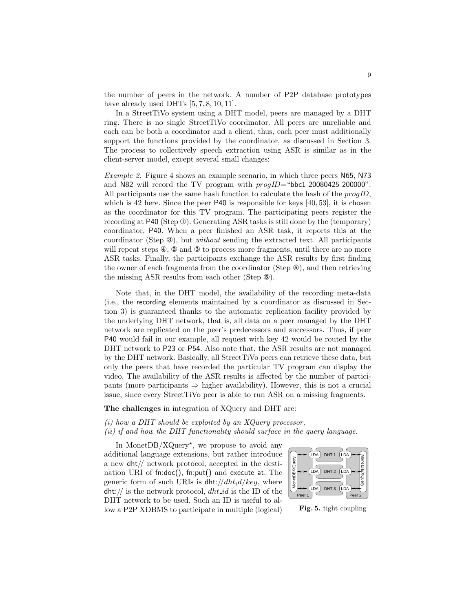the number of peers in the network. A number of P2P database prototypes have already used DHTs [5, 7, 8, 10, 11].

In a StreetTiVo system using a DHT model, peers are managed by a DHT ring. There is no single StreetTiVo coordinator. All peers are unreliable and each can be both a coordinator and a client, thus, each peer must additionally support the functions provided by the coordinator, as discussed in Section 3. The process to collectively speech extraction using ASR is similar as in the client-server model, except several small changes:

Example 2. Figure 4 shows an example scenario, in which three peers N65, N73 and N82 will record the TV program with  $projID = "bbc1.20080425.200000"$ . All participants use the same hash function to calculate the hash of the  $\text{proj}_D$ , which is 42 here. Since the peer P40 is responsible for keys [40, 53], it is chosen as the coordinator for this TV program. The participating peers register the recording at P40 (Step ①). Generating ASR tasks is still done by the (temporary) coordinator, P40. When a peer finished an ASR task, it reports this at the coordinator (Step ③), but without sending the extracted text. All participants will repeat steps  $\Phi$ ,  $\Phi$  and  $\Phi$  to process more fragments, until there are no more ASR tasks. Finally, the participants exchange the ASR results by first finding the owner of each fragments from the coordinator (Step ⑤), and then retrieving the missing ASR results from each other (Step ⑤).

Note that, in the DHT model, the availability of the recording meta-data (i.e., the recording elements maintained by a coordinator as discussed in Section 3) is guaranteed thanks to the automatic replication facility provided by the underlying DHT network, that is, all data on a peer managed by the DHT network are replicated on the peer's predecessors and successors. Thus, if peer P40 would fail in our example, all request with key 42 would be routed by the DHT network to P23 or P54. Also note that, the ASR results are not managed by the DHT network. Basically, all StreetTiVo peers can retrieve these data, but only the peers that have recorded the particular TV program can display the video. The availability of the ASR results is affected by the number of participants (more participants  $\Rightarrow$  higher availability). However, this is not a crucial issue, since every StreetTiVo peer is able to run ASR on a missing fragments.

The challenges in integration of XQuery and DHT are:

### $(i)$  how a DHT should be exploited by an XQuery processor,

(ii) if and how the DHT functionality should surface in the query language.

In MonetDB/XQuery<sup>\*</sup>, we propose to avoid any additional language extensions, but rather introduce a new dht// network protocol, accepted in the destination URI of fn:doc(), fn:put() and execute at. The generic form of such URIs is  $\frac{dht}{dt}dt$ ;  $\frac{dht}{dt}$  where  $\frac{dht}{l}$  is the network protocol,  $\frac{dht}{dt}$  is the ID of the DHT network to be used. Such an ID is useful to allow a P2P XDBMS to participate in multiple (logical)



Fig. 5. tight coupling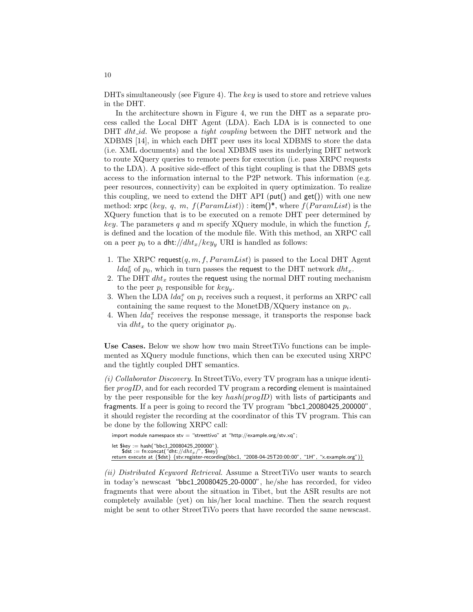DHTs simultaneously (see Figure 4). The key is used to store and retrieve values in the DHT.

In the architecture shown in Figure 4, we run the DHT as a separate process called the Local DHT Agent (LDA). Each LDA is is connected to one DHT *dht\_id*. We propose a *tight coupling* between the DHT network and the XDBMS [14], in which each DHT peer uses its local XDBMS to store the data (i.e. XML documents) and the local XDBMS uses its underlying DHT network to route XQuery queries to remote peers for execution (i.e. pass XRPC requests to the LDA). A positive side-effect of this tight coupling is that the DBMS gets access to the information internal to the P2P network. This information (e.g. peer resources, connectivity) can be exploited in query optimization. To realize this coupling, we need to extend the DHT API (put() and get()) with one new method: xrpc (key, q, m,  $f(ParamList)$ ) : item()\*, where  $f(ParamList)$  is the XQuery function that is to be executed on a remote DHT peer determined by key. The parameters q and m specify XQuery module, in which the function  $f_r$ is defined and the location of the module file. With this method, an XRPC call on a peer  $p_0$  to a dht://dht<sub>x</sub>/key<sub>y</sub> URI is handled as follows:

- 1. The XRPC request $(q, m, f, ParamList)$  is passed to the Local DHT Agent  $lda_0^x$  of  $p_0$ , which in turn passes the request to the DHT network  $dht_x$ .
- 2. The DHT  $dht_x$  routes the request using the normal DHT routing mechanism to the peer  $p_i$  responsible for  $key_u$ .
- 3. When the LDA  $lda_i^x$  on  $p_i$  receives such a request, it performs an XRPC call containing the same request to the MonetDB/XQuery instance on  $p_i$ .
- 4. When  $lda_i^x$  receives the response message, it transports the response back via  $dht_x$  to the query originator  $p_0$ .

Use Cases. Below we show how two main StreetTiVo functions can be implemented as XQuery module functions, which then can be executed using XRPC and the tightly coupled DHT semantics.

(i) Collaborator Discovery. In StreetTiVo, every TV program has a unique identifier progID, and for each recorded TV program a recording element is maintained by the peer responsible for the key  $hash(predID)$  with lists of participants and fragments. If a peer is going to record the TV program "bbc1 20080425 200000", it should register the recording at the coordinator of this TV program. This can be done by the following XRPC call:

| import module namespace stv $=$ "streettivo" at "http://example.org/stv.xq";                                          |
|-----------------------------------------------------------------------------------------------------------------------|
| let $%$ key := hash("bbc1_20080425_200000"),<br>$\text{Sdst} := \text{fn:concat}("\text{dht}:}/dht_x$ , $\text{Skey}$ |
| return execute at {\$dst} {stv:register-recording(bbc1, "2008-04-25T20:00:00", "1H", "x.example.org")}                |

(ii) Distributed Keyword Retrieval. Assume a StreetTiVo user wants to search in today's newscast "bbc1 20080425 20-0000", he/she has recorded, for video fragments that were about the situation in Tibet, but the ASR results are not completely available (yet) on his/her local machine. Then the search request might be sent to other StreetTiVo peers that have recorded the same newscast.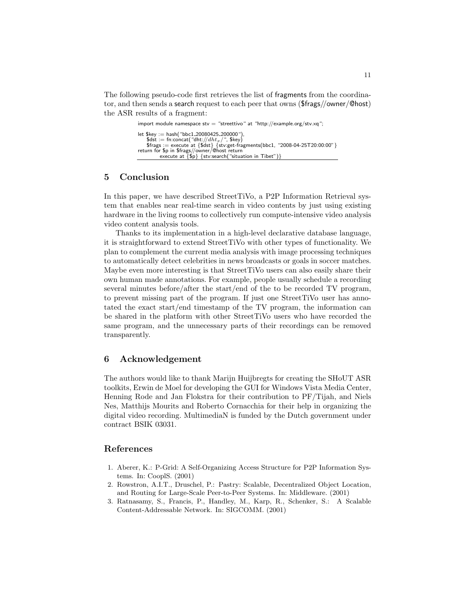The following pseudo-code first retrieves the list of fragments from the coordinator, and then sends a search request to each peer that owns (\$frags//owner/@host) the ASR results of a fragment:

| let $%$ key := hash("bbc1_20080425_200000"),<br>$\text{Sdst} := \text{fn:concat}("\text{dht}:}/\text{dht}_{x}/", \text{Skey})$ |
|--------------------------------------------------------------------------------------------------------------------------------|
| \$frags := execute at $\{$ \$dst $\}$ {stv:get-fragments(bbc1, "2008-04-25T20:00:00" }                                         |
| return for \$p in \$frags//owner/@host return<br>execute at $\{Sp\}$ {stv:search("situation in Tibet")}                        |
|                                                                                                                                |

# 5 Conclusion

In this paper, we have described StreetTiVo, a P2P Information Retrieval system that enables near real-time search in video contents by just using existing hardware in the living rooms to collectively run compute-intensive video analysis video content analysis tools.

Thanks to its implementation in a high-level declarative database language, it is straightforward to extend StreetTiVo with other types of functionality. We plan to complement the current media analysis with image processing techniques to automatically detect celebrities in news broadcasts or goals in soccer matches. Maybe even more interesting is that StreetTiVo users can also easily share their own human made annotations. For example, people usually schedule a recording several minutes before/after the start/end of the to be recorded TV program, to prevent missing part of the program. If just one StreetTiVo user has annotated the exact start/end timestamp of the TV program, the information can be shared in the platform with other StreetTiVo users who have recorded the same program, and the unnecessary parts of their recordings can be removed transparently.

## 6 Acknowledgement

The authors would like to thank Marijn Huijbregts for creating the SHoUT ASR toolkits, Erwin de Moel for developing the GUI for Windows Vista Media Center, Henning Rode and Jan Flokstra for their contribution to PF/Tijah, and Niels Nes, Matthijs Mourits and Roberto Cornacchia for their help in organizing the digital video recording. MultimediaN is funded by the Dutch government under contract BSIK 03031.

## References

- 1. Aberer, K.: P-Grid: A Self-Organizing Access Structure for P2P Information Systems. In: CooplS. (2001)
- 2. Rowstron, A.I.T., Druschel, P.: Pastry: Scalable, Decentralized Object Location, and Routing for Large-Scale Peer-to-Peer Systems. In: Middleware. (2001)
- 3. Ratnasamy, S., Francis, P., Handley, M., Karp, R., Schenker, S.: A Scalable Content-Addressable Network. In: SIGCOMM. (2001)